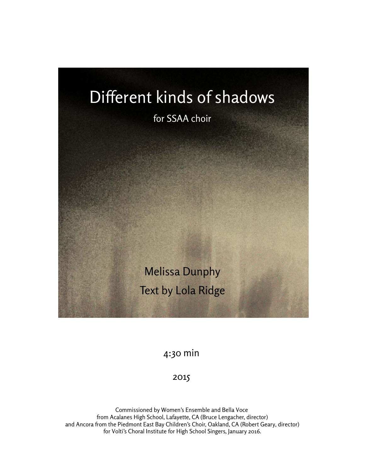## Different kinds of shadows

for SSAA choir

Melissa Dunphy Text by Lola Ridge

4:30 min

2015

Commissioned by Women's Ensemble and Bella Voce from Acalanes High School, Lafayette, CA (Bruce Lengacher, director) and Ancora from the Piedmont East Bay Children's Choir, Oakland, CA (Robert Geary, director) for Volti's Choral Institute for High School Singers, January 2016.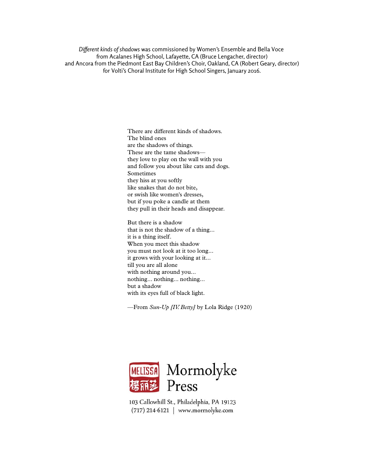*Different kinds of shadows* was commissioned by Women's Ensemble and Bella Voce from Acalanes High School, Lafayette, CA (Bruce Lengacher, director) and Ancora from the Piedmont East Bay Children's Choir, Oakland, CA (Robert Geary, director) for Volti's Choral Institute for High School Singers, January 2016.

> There are different kinds of shadows. The blind ones are the shadows of things. These are the tame shadows they love to play on the wall with you and follow you about like cats and dogs. Sometimes they hiss at you softly like snakes that do not bite, or swish like women's dresses, but if you poke a candle at them they pull in their heads and disappear.

But there is a shadow that is not the shadow of a thing... it is a thing itself. When you meet this shadow you must not look at it too long... it grows with your looking at it... till you are all alone with nothing around you... nothing... nothing... nothing... but a shadow with its eyes full of black light.

—From *Sun-Up [IV. Betty]* by Lola Ridge (1920)



103 Callowhill St., Philadelphia, PA 19123 (717) 214-6121 | www.mormolyke.com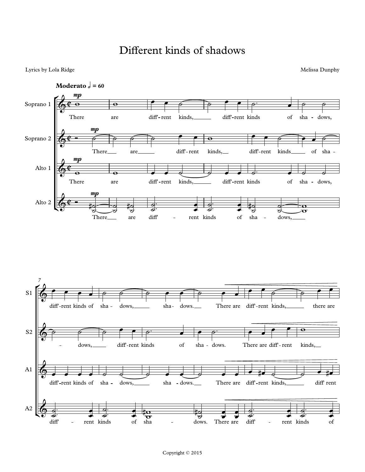## Different kinds of shadows

Lyrics by Lola Ridge Melissa Dunphy



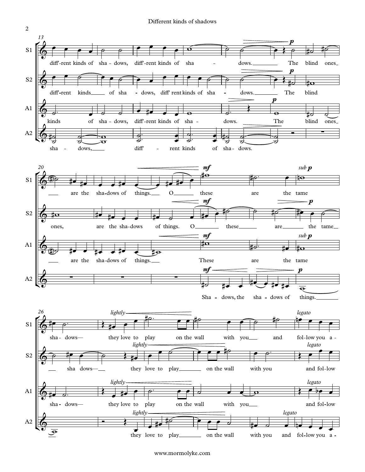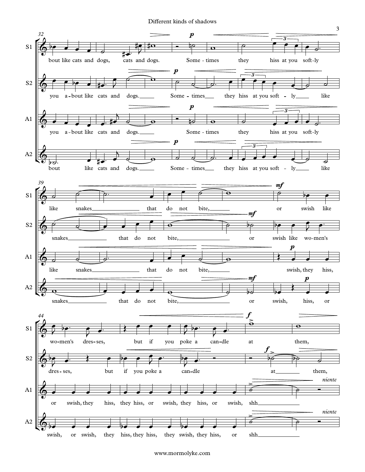Different kinds of shadows

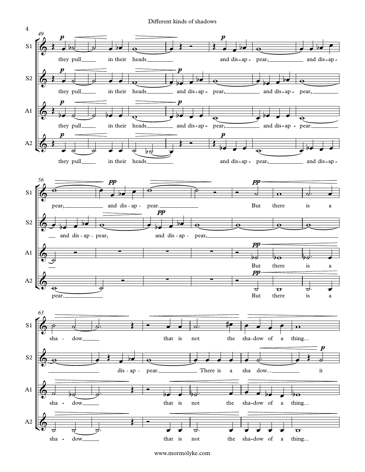Different kinds of shadows

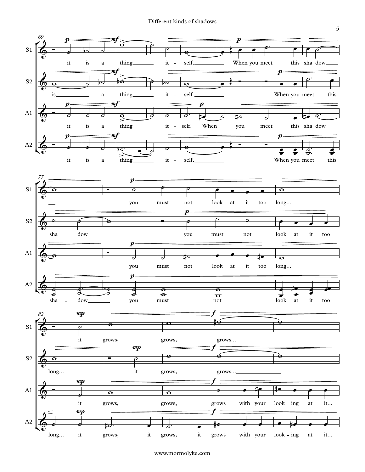Different kinds of shadows

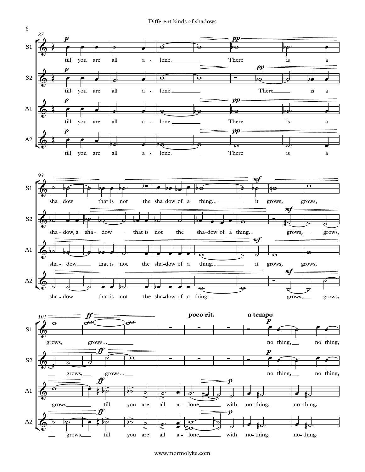Different kinds of shadows

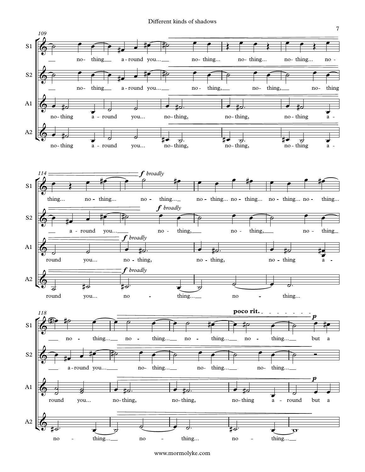